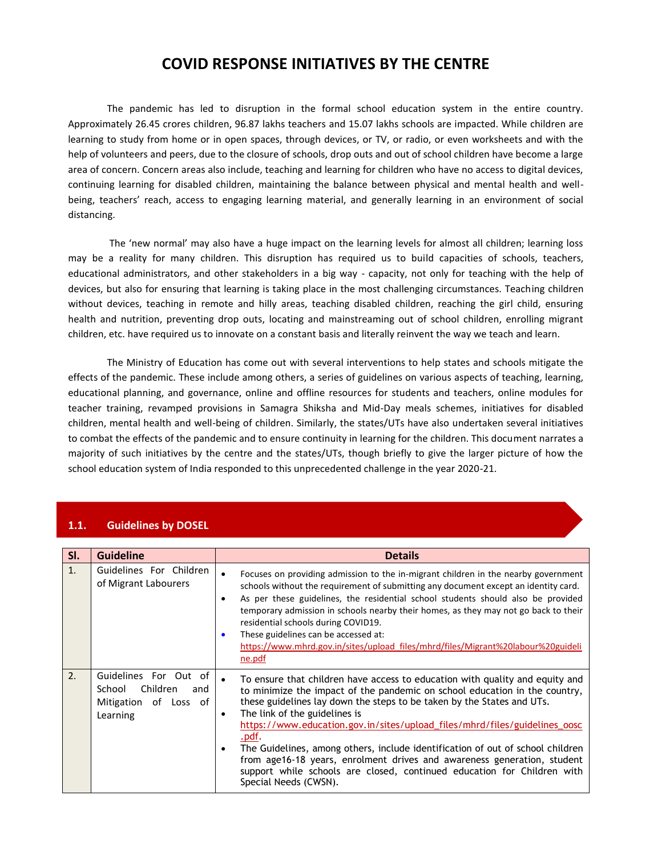# **COVID RESPONSE INITIATIVES BY THE CENTRE**

The pandemic has led to disruption in the formal school education system in the entire country. Approximately 26.45 crores children, 96.87 lakhs teachers and 15.07 lakhs schools are impacted. While children are learning to study from home or in open spaces, through devices, or TV, or radio, or even worksheets and with the help of volunteers and peers, due to the closure of schools, drop outs and out of school children have become a large area of concern. Concern areas also include, teaching and learning for children who have no access to digital devices, continuing learning for disabled children, maintaining the balance between physical and mental health and wellbeing, teachers' reach, access to engaging learning material, and generally learning in an environment of social distancing.

The 'new normal' may also have a huge impact on the learning levels for almost all children; learning loss may be a reality for many children. This disruption has required us to build capacities of schools, teachers, educational administrators, and other stakeholders in a big way - capacity, not only for teaching with the help of devices, but also for ensuring that learning is taking place in the most challenging circumstances. Teaching children without devices, teaching in remote and hilly areas, teaching disabled children, reaching the girl child, ensuring health and nutrition, preventing drop outs, locating and mainstreaming out of school children, enrolling migrant children, etc. have required us to innovate on a constant basis and literally reinvent the way we teach and learn.

The Ministry of Education has come out with several interventions to help states and schools mitigate the effects of the pandemic. These include among others, a series of guidelines on various aspects of teaching, learning, educational planning, and governance, online and offline resources for students and teachers, online modules for teacher training, revamped provisions in Samagra Shiksha and Mid-Day meals schemes, initiatives for disabled children, mental health and well-being of children. Similarly, the states/UTs have also undertaken several initiatives to combat the effects of the pandemic and to ensure continuity in learning for the children. This document narrates a majority of such initiatives by the centre and the states/UTs, though briefly to give the larger picture of how the school education system of India responded to this unprecedented challenge in the year 2020-21.

| SI.            | <b>Guideline</b>                                                                        | <b>Details</b>                                                                                                                                                                                                                                                                                                                                                                                                                                                                                                                                                                                                                |  |
|----------------|-----------------------------------------------------------------------------------------|-------------------------------------------------------------------------------------------------------------------------------------------------------------------------------------------------------------------------------------------------------------------------------------------------------------------------------------------------------------------------------------------------------------------------------------------------------------------------------------------------------------------------------------------------------------------------------------------------------------------------------|--|
| $\mathbf{1}$ . | Guidelines For Children<br>of Migrant Labourers                                         | Focuses on providing admission to the in-migrant children in the nearby government<br>$\bullet$<br>schools without the requirement of submitting any document except an identity card.<br>As per these guidelines, the residential school students should also be provided<br>temporary admission in schools nearby their homes, as they may not go back to their<br>residential schools during COVID19.<br>These guidelines can be accessed at:<br>https://www.mhrd.gov.in/sites/upload_files/mhrd/files/Migrant%20labour%20guideli<br>ne.pdf                                                                                |  |
| 2.             | Guidelines For Out of<br>Children<br>School<br>and<br>Mitigation of Loss of<br>Learning | To ensure that children have access to education with quality and equity and<br>to minimize the impact of the pandemic on school education in the country,<br>these guidelines lay down the steps to be taken by the States and UTs.<br>The link of the guidelines is<br>https://www.education.gov.in/sites/upload_files/mhrd/files/guidelines_oosc<br>.pdf.<br>The Guidelines, among others, include identification of out of school children<br>from age16-18 years, enrolment drives and awareness generation, student<br>support while schools are closed, continued education for Children with<br>Special Needs (CWSN). |  |

### **1.1. Guidelines by DOSEL**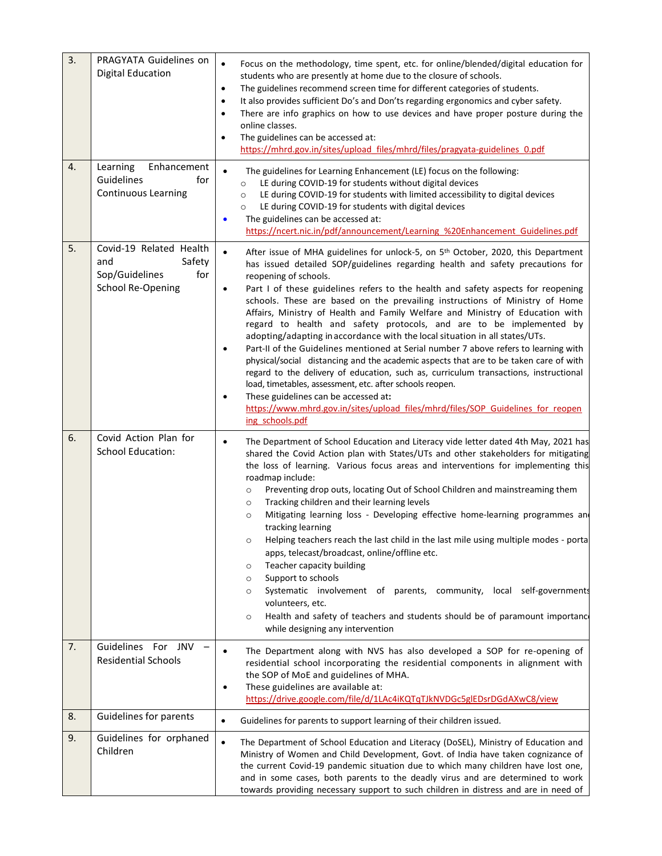| 3. | PRAGYATA Guidelines on<br><b>Digital Education</b>                                            | $\bullet$<br>Focus on the methodology, time spent, etc. for online/blended/digital education for<br>students who are presently at home due to the closure of schools.<br>The guidelines recommend screen time for different categories of students.<br>$\bullet$<br>It also provides sufficient Do's and Don'ts regarding ergonomics and cyber safety.<br>There are info graphics on how to use devices and have proper posture during the<br>$\bullet$<br>online classes.<br>The guidelines can be accessed at:<br>https://mhrd.gov.in/sites/upload_files/mhrd/files/pragyata-guidelines_0.pdf                                                                                                                                                                                                                                                                                                                                                                                                                                                                                                                                                   |
|----|-----------------------------------------------------------------------------------------------|---------------------------------------------------------------------------------------------------------------------------------------------------------------------------------------------------------------------------------------------------------------------------------------------------------------------------------------------------------------------------------------------------------------------------------------------------------------------------------------------------------------------------------------------------------------------------------------------------------------------------------------------------------------------------------------------------------------------------------------------------------------------------------------------------------------------------------------------------------------------------------------------------------------------------------------------------------------------------------------------------------------------------------------------------------------------------------------------------------------------------------------------------|
| 4. | Enhancement<br>Learning<br>Guidelines<br>for<br><b>Continuous Learning</b>                    | The guidelines for Learning Enhancement (LE) focus on the following:<br>LE during COVID-19 for students without digital devices<br>$\circ$<br>LE during COVID-19 for students with limited accessibility to digital devices<br>$\circ$<br>LE during COVID-19 for students with digital devices<br>$\circ$<br>The guidelines can be accessed at:<br>$\bullet$<br>https://ncert.nic.in/pdf/announcement/Learning %20Enhancement Guidelines.pdf                                                                                                                                                                                                                                                                                                                                                                                                                                                                                                                                                                                                                                                                                                      |
| 5. | Covid-19 Related Health<br>Safety<br>and<br>Sop/Guidelines<br>for<br><b>School Re-Opening</b> | $\bullet$<br>After issue of MHA guidelines for unlock-5, on 5 <sup>th</sup> October, 2020, this Department<br>has issued detailed SOP/guidelines regarding health and safety precautions for<br>reopening of schools.<br>Part I of these guidelines refers to the health and safety aspects for reopening<br>٠<br>schools. These are based on the prevailing instructions of Ministry of Home<br>Affairs, Ministry of Health and Family Welfare and Ministry of Education with<br>regard to health and safety protocols, and are to be implemented by<br>adopting/adapting in accordance with the local situation in all states/UTs.<br>Part-II of the Guidelines mentioned at Serial number 7 above refers to learning with<br>$\bullet$<br>physical/social distancing and the academic aspects that are to be taken care of with<br>regard to the delivery of education, such as, curriculum transactions, instructional<br>load, timetables, assessment, etc. after schools reopen.<br>These guidelines can be accessed at:<br>$\bullet$<br>https://www.mhrd.gov.in/sites/upload_files/mhrd/files/SOP_Guidelines_for_reopen<br>ing schools.pdf |
| 6. | Covid Action Plan for<br><b>School Education:</b>                                             | The Department of School Education and Literacy vide letter dated 4th May, 2021 has<br>$\bullet$<br>shared the Covid Action plan with States/UTs and other stakeholders for mitigating<br>the loss of learning. Various focus areas and interventions for implementing this<br>roadmap include:<br>Preventing drop outs, locating Out of School Children and mainstreaming them<br>$\circ$<br>Tracking children and their learning levels<br>$\circ$<br>Mitigating learning loss - Developing effective home-learning programmes an<br>$\circ$<br>tracking learning<br>Helping teachers reach the last child in the last mile using multiple modes - porta<br>$\circ$<br>apps, telecast/broadcast, online/offline etc.<br>Teacher capacity building<br>$\circ$<br>Support to schools<br>$\circ$<br>Systematic involvement of parents, community, local self-governments<br>$\circ$<br>volunteers, etc.<br>Health and safety of teachers and students should be of paramount importanc<br>$\circ$<br>while designing any intervention                                                                                                              |
| 7. | Guidelines For JNV<br><b>Residential Schools</b>                                              | The Department along with NVS has also developed a SOP for re-opening of<br>residential school incorporating the residential components in alignment with<br>the SOP of MoE and guidelines of MHA.<br>These guidelines are available at:<br>$\bullet$<br>https://drive.google.com/file/d/1LAc4iKQTqTJkNVDGc5glEDsrDGdAXwC8/view                                                                                                                                                                                                                                                                                                                                                                                                                                                                                                                                                                                                                                                                                                                                                                                                                   |
| 8. | Guidelines for parents                                                                        | Guidelines for parents to support learning of their children issued.<br>$\bullet$                                                                                                                                                                                                                                                                                                                                                                                                                                                                                                                                                                                                                                                                                                                                                                                                                                                                                                                                                                                                                                                                 |
| 9. | Guidelines for orphaned<br>Children                                                           | $\bullet$<br>The Department of School Education and Literacy (DoSEL), Ministry of Education and<br>Ministry of Women and Child Development, Govt. of India have taken cognizance of<br>the current Covid-19 pandemic situation due to which many children have lost one,<br>and in some cases, both parents to the deadly virus and are determined to work<br>towards providing necessary support to such children in distress and are in need of                                                                                                                                                                                                                                                                                                                                                                                                                                                                                                                                                                                                                                                                                                 |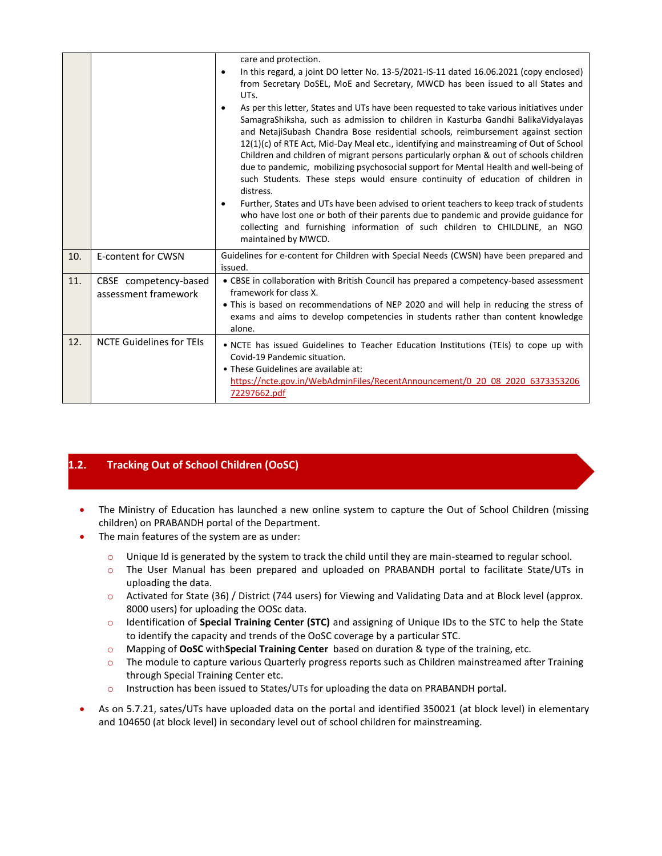|     |                                               | care and protection.<br>In this regard, a joint DO letter No. 13-5/2021-IS-11 dated 16.06.2021 (copy enclosed)<br>$\bullet$<br>from Secretary DoSEL, MoE and Secretary, MWCD has been issued to all States and<br>UTs.<br>As per this letter, States and UTs have been requested to take various initiatives under<br>SamagraShiksha, such as admission to children in Kasturba Gandhi BalikaVidyalayas<br>and NetajiSubash Chandra Bose residential schools, reimbursement against section<br>12(1)(c) of RTE Act, Mid-Day Meal etc., identifying and mainstreaming of Out of School<br>Children and children of migrant persons particularly orphan & out of schools children<br>due to pandemic, mobilizing psychosocial support for Mental Health and well-being of<br>such Students. These steps would ensure continuity of education of children in<br>distress.<br>Further, States and UTs have been advised to orient teachers to keep track of students<br>٠ |  |
|-----|-----------------------------------------------|-----------------------------------------------------------------------------------------------------------------------------------------------------------------------------------------------------------------------------------------------------------------------------------------------------------------------------------------------------------------------------------------------------------------------------------------------------------------------------------------------------------------------------------------------------------------------------------------------------------------------------------------------------------------------------------------------------------------------------------------------------------------------------------------------------------------------------------------------------------------------------------------------------------------------------------------------------------------------|--|
|     |                                               | who have lost one or both of their parents due to pandemic and provide guidance for<br>collecting and furnishing information of such children to CHILDLINE, an NGO<br>maintained by MWCD.                                                                                                                                                                                                                                                                                                                                                                                                                                                                                                                                                                                                                                                                                                                                                                             |  |
| 10. | E-content for CWSN                            | Guidelines for e-content for Children with Special Needs (CWSN) have been prepared and<br>issued.                                                                                                                                                                                                                                                                                                                                                                                                                                                                                                                                                                                                                                                                                                                                                                                                                                                                     |  |
| 11. | CBSE competency-based<br>assessment framework | • CBSE in collaboration with British Council has prepared a competency-based assessment<br>framework for class X.<br>. This is based on recommendations of NEP 2020 and will help in reducing the stress of<br>exams and aims to develop competencies in students rather than content knowledge<br>alone.                                                                                                                                                                                                                                                                                                                                                                                                                                                                                                                                                                                                                                                             |  |
| 12. | <b>NCTE Guidelines for TEIs</b>               | • NCTE has issued Guidelines to Teacher Education Institutions (TEIs) to cope up with<br>Covid-19 Pandemic situation.<br>• These Guidelines are available at:<br>https://ncte.gov.in/WebAdminFiles/RecentAnnouncement/0 20 08 2020 6373353206<br>72297662.pdf                                                                                                                                                                                                                                                                                                                                                                                                                                                                                                                                                                                                                                                                                                         |  |

## **1.2. Tracking Out of School Children (OoSC)**

- The Ministry of Education has launched a new online system to capture the Out of School Children (missing children) on PRABANDH portal of the Department.
- The main features of the system are as under:
	- o Unique Id is generated by the system to track the child until they are main-steamed to regular school.
	- o The User Manual has been prepared and uploaded on PRABANDH portal to facilitate State/UTs in uploading the data.
	- o Activated for State (36) / District (744 users) for Viewing and Validating Data and at Block level (approx. 8000 users) for uploading the OOSc data.
	- o Identification of **Special Training Center (STC)** and assigning of Unique IDs to the STC to help the State to identify the capacity and trends of the OoSC coverage by a particular STC.
	- o Mapping of **OoSC** with**Special Training Center** based on duration & type of the training, etc.
	- o The module to capture various Quarterly progress reports such as Children mainstreamed after Training through Special Training Center etc.
	- o Instruction has been issued to States/UTs for uploading the data on PRABANDH portal.
- As on 5.7.21, sates/UTs have uploaded data on the portal and identified 350021 (at block level) in elementary and 104650 (at block level) in secondary level out of school children for mainstreaming.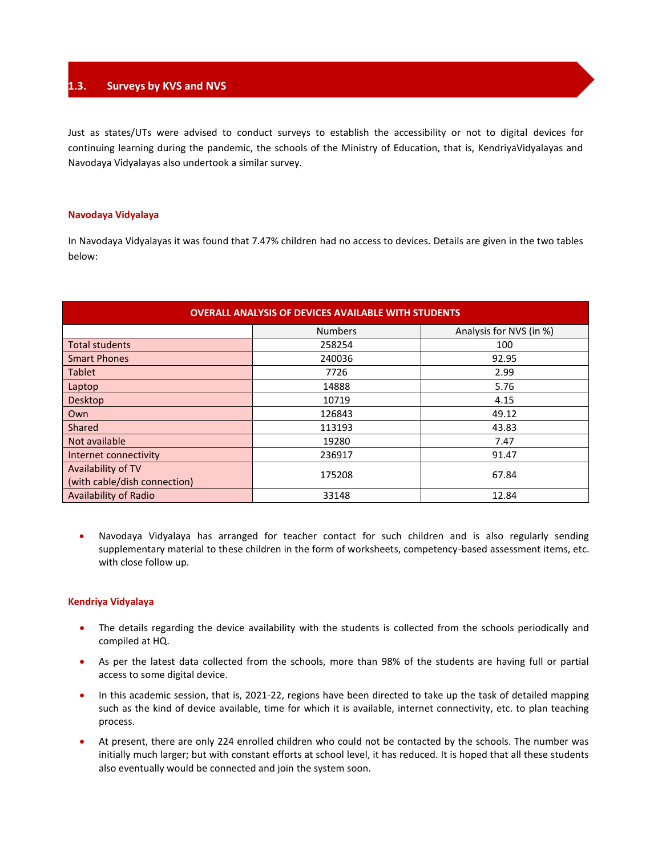### **1.3. Surveys by KVS and NVS**

Just as states/UTs were advised to conduct surveys to establish the accessibility or not to digital devices for continuing learning during the pandemic, the schools of the Ministry of Education, that is, KendriyaVidyalayas and Navodaya Vidyalayas also undertook a similar survey.

### **Navodaya Vidyalaya**

In Navodaya Vidyalayas it was found that 7.47% children had no access to devices. Details are given in the two tables below:

| <b>OVERALL ANALYSIS OF DEVICES AVAILABLE WITH STUDENTS</b> |                |                         |  |  |  |
|------------------------------------------------------------|----------------|-------------------------|--|--|--|
|                                                            | <b>Numbers</b> | Analysis for NVS (in %) |  |  |  |
| <b>Total students</b>                                      | 258254         | 100                     |  |  |  |
| <b>Smart Phones</b>                                        | 240036         | 92.95                   |  |  |  |
| <b>Tablet</b>                                              | 7726           | 2.99                    |  |  |  |
| Laptop                                                     | 14888          | 5.76                    |  |  |  |
| <b>Desktop</b>                                             | 10719          | 4.15                    |  |  |  |
| Own                                                        | 126843         | 49.12                   |  |  |  |
| Shared                                                     | 113193         | 43.83                   |  |  |  |
| Not available                                              | 19280          | 7.47                    |  |  |  |
| Internet connectivity                                      | 236917         | 91.47                   |  |  |  |
| Availability of TV                                         | 175208         | 67.84                   |  |  |  |
| (with cable/dish connection)                               |                |                         |  |  |  |
| <b>Availability of Radio</b>                               | 33148          | 12.84                   |  |  |  |

 Navodaya Vidyalaya has arranged for teacher contact for such children and is also regularly sending supplementary material to these children in the form of worksheets, competency-based assessment items, etc. with close follow up.

### **Kendriya Vidyalaya**

- The details regarding the device availability with the students is collected from the schools periodically and compiled at HQ.
- As per the latest data collected from the schools, more than 98% of the students are having full or partial access to some digital device.
- In this academic session, that is, 2021-22, regions have been directed to take up the task of detailed mapping such as the kind of device available, time for which it is available, internet connectivity, etc. to plan teaching process.
- At present, there are only 224 enrolled children who could not be contacted by the schools. The number was initially much larger; but with constant efforts at school level, it has reduced. It is hoped that all these students also eventually would be connected and join the system soon.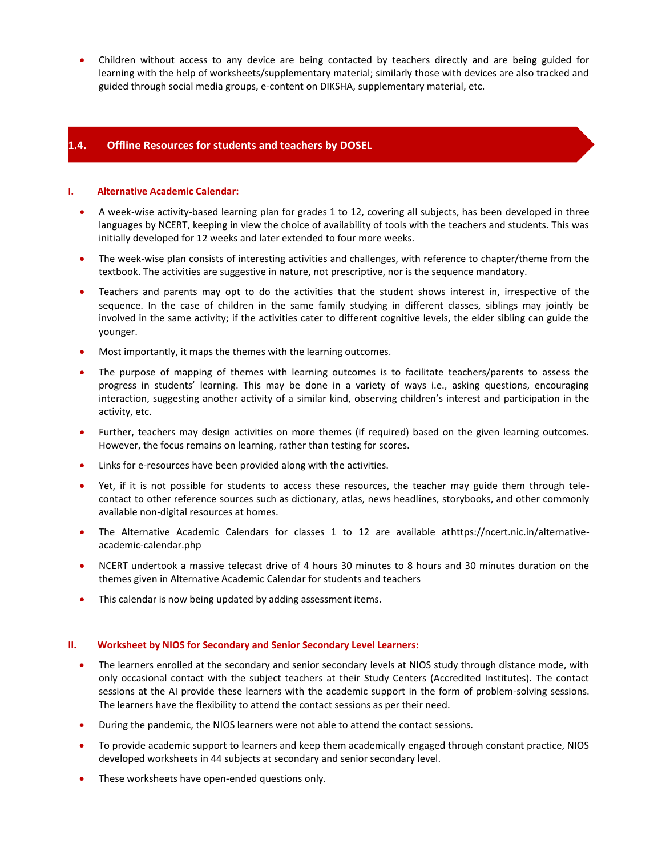Children without access to any device are being contacted by teachers directly and are being guided for learning with the help of worksheets/supplementary material; similarly those with devices are also tracked and guided through social media groups, e-content on DIKSHA, supplementary material, etc.

### **1.4. Offline Resources for students and teachers by DOSEL**

#### **I. Alternative Academic Calendar:**

- A week-wise activity-based learning plan for grades 1 to 12, covering all subjects, has been developed in three languages by NCERT, keeping in view the choice of availability of tools with the teachers and students. This was initially developed for 12 weeks and later extended to four more weeks.
- The week-wise plan consists of interesting activities and challenges, with reference to chapter/theme from the textbook. The activities are suggestive in nature, not prescriptive, nor is the sequence mandatory.
- Teachers and parents may opt to do the activities that the student shows interest in, irrespective of the sequence. In the case of children in the same family studying in different classes, siblings may jointly be involved in the same activity; if the activities cater to different cognitive levels, the elder sibling can guide the younger.
- Most importantly, it maps the themes with the learning outcomes.
- The purpose of mapping of themes with learning outcomes is to facilitate teachers/parents to assess the progress in students' learning. This may be done in a variety of ways i.e., asking questions, encouraging interaction, suggesting another activity of a similar kind, observing children's interest and participation in the activity, etc.
- Further, teachers may design activities on more themes (if required) based on the given learning outcomes. However, the focus remains on learning, rather than testing for scores.
- Links for e-resources have been provided along with the activities.
- Yet, if it is not possible for students to access these resources, the teacher may guide them through telecontact to other reference sources such as dictionary, atlas, news headlines, storybooks, and other commonly available non-digital resources at homes.
- The Alternative Academic Calendars for classes 1 to 12 are available a[thttps://ncert.nic.in/alternative](https://ncert.nic.in/alternative-academic-calendar.php)[academic-calendar.php](https://ncert.nic.in/alternative-academic-calendar.php)
- NCERT undertook a massive telecast drive of 4 hours 30 minutes to 8 hours and 30 minutes duration on the themes given in Alternative Academic Calendar for students and teachers
- This calendar is now being updated by adding assessment items.

#### **II. Worksheet by NIOS for Secondary and Senior Secondary Level Learners:**

- The learners enrolled at the secondary and senior secondary levels at NIOS study through distance mode, with only occasional contact with the subject teachers at their Study Centers (Accredited Institutes). The contact sessions at the AI provide these learners with the academic support in the form of problem-solving sessions. The learners have the flexibility to attend the contact sessions as per their need.
- During the pandemic, the NIOS learners were not able to attend the contact sessions.
- To provide academic support to learners and keep them academically engaged through constant practice, NIOS developed worksheets in 44 subjects at secondary and senior secondary level.
- These worksheets have open-ended questions only.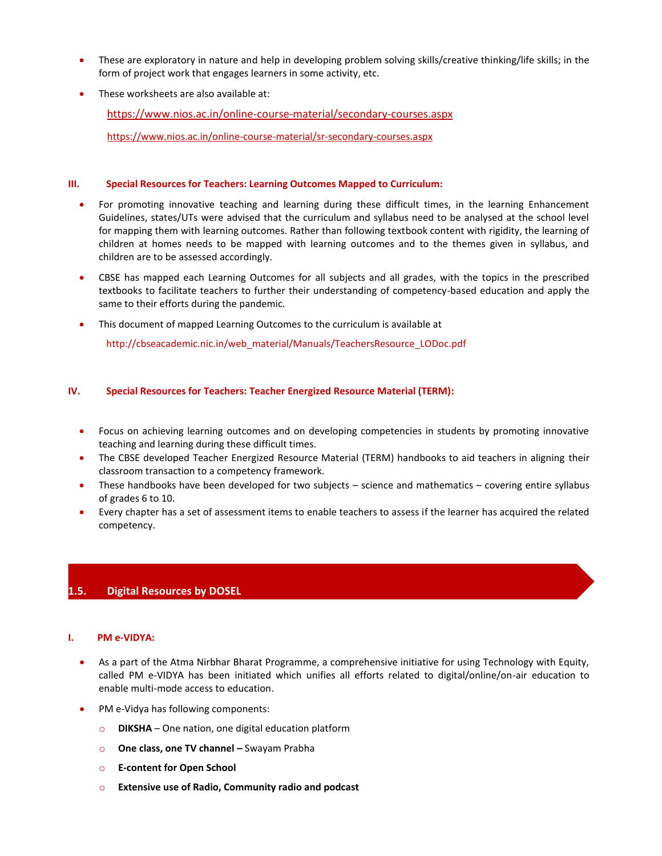- These are exploratory in nature and help in developing problem solving skills/creative thinking/life skills; in the form of project work that engages learners in some activity, etc.
- These worksheets are also available at:

<https://www.nios.ac.in/online-course-material/secondary-courses.aspx>

https://www.nios.ac.in/online-course-material/sr-secondary-courses.aspx

### **III. Special Resources for Teachers: Learning Outcomes Mapped to Curriculum:**

- For promoting innovative teaching and learning during these difficult times, in the learning Enhancement Guidelines, states/UTs were advised that the curriculum and syllabus need to be analysed at the school level for mapping them with learning outcomes. Rather than following textbook content with rigidity, the learning of children at homes needs to be mapped with learning outcomes and to the themes given in syllabus, and children are to be assessed accordingly.
- CBSE has mapped each Learning Outcomes for all subjects and all grades, with the topics in the prescribed textbooks to facilitate teachers to further their understanding of competency-based education and apply the same to their efforts during the pandemic.
- This document of mapped Learning Outcomes to the curriculum is available at

http://cbseacademic.nic.in/web\_material/Manuals/TeachersResource\_LODoc.pdf

### **IV. Special Resources for Teachers: Teacher Energized Resource Material (TERM):**

- Focus on achieving learning outcomes and on developing competencies in students by promoting innovative teaching and learning during these difficult times.
- The CBSE developed Teacher Energized Resource Material (TERM) handbooks to aid teachers in aligning their classroom transaction to a competency framework.
- These handbooks have been developed for two subjects science and mathematics covering entire syllabus of grades 6 to 10.
- Every chapter has a set of assessment items to enable teachers to assess if the learner has acquired the related competency.

### **1.5. Digital Resources by DOSEL**

### **I. PM e-VIDYA:**

- As a part of the Atma Nirbhar Bharat Programme, a comprehensive initiative for using Technology with Equity, called PM e-VIDYA has been initiated which unifies all efforts related to digital/online/on-air education to enable multi-mode access to education.
- PM e-Vidya has following components:
	- o **DIKSHA**  One nation, one digital education platform
	- o **One class, one TV channel –** Swayam Prabha
	- o **E-content for Open School**
	- o **Extensive use of Radio, Community radio and podcast**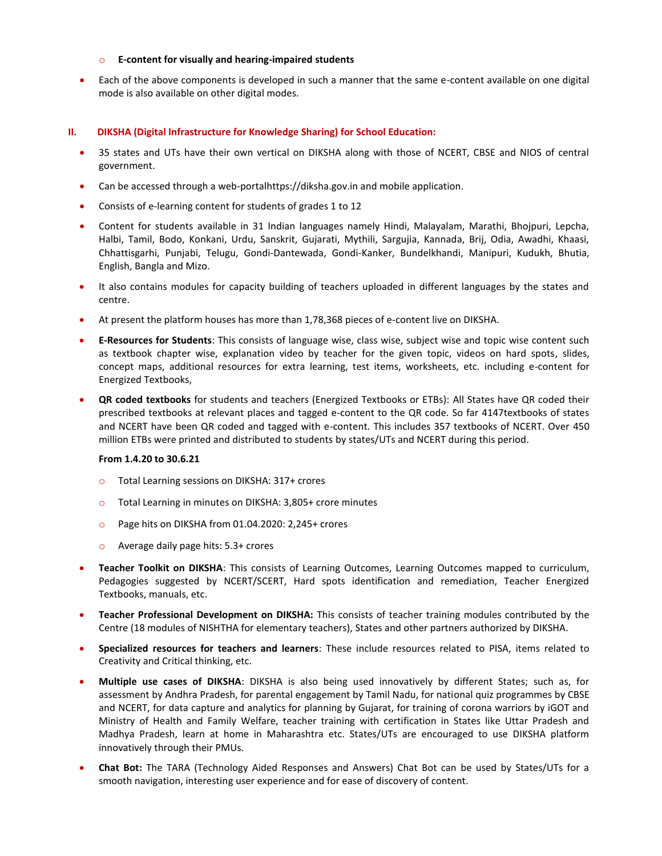### o **E-content for visually and hearing-impaired students**

 Each of the above components is developed in such a manner that the same e-content available on one digital mode is also available on other digital modes.

### **II. DIKSHA (Digital Infrastructure for Knowledge Sharing) for School Education:**

- 35 states and UTs have their own vertical on DIKSHA along with those of NCERT, CBSE and NIOS of central government.
- Can be accessed through a web-portalhttps://diksha.gov.in and mobile application.
- Consists of e-learning content for students of grades 1 to 12
- Content for students available in 31 Indian languages namely Hindi, Malayalam, Marathi, Bhojpuri, Lepcha, Halbi, Tamil, Bodo, Konkani, Urdu, Sanskrit, Gujarati, Mythili, Sargujia, Kannada, Brij, Odia, Awadhi, Khaasi, Chhattisgarhi, Punjabi, Telugu, Gondi-Dantewada, Gondi-Kanker, Bundelkhandi, Manipuri, Kudukh, Bhutia, English, Bangla and Mizo.
- It also contains modules for capacity building of teachers uploaded in different languages by the states and centre.
- At present the platform houses has more than 1,78,368 pieces of e-content live on DIKSHA.
- **E-Resources for Students**: This consists of language wise, class wise, subject wise and topic wise content such as textbook chapter wise, explanation video by teacher for the given topic, videos on hard spots, slides, concept maps, additional resources for extra learning, test items, worksheets, etc. including e-content for Energized Textbooks,
- **QR coded textbooks** for students and teachers (Energized Textbooks or ETBs): All States have QR coded their prescribed textbooks at relevant places and tagged e-content to the QR code. So far 4147textbooks of states and NCERT have been QR coded and tagged with e-content. This includes 357 textbooks of NCERT. Over 450 million ETBs were printed and distributed to students by states/UTs and NCERT during this period.

### **From 1.4.20 to 30.6.21**

- o Total Learning sessions on DIKSHA: 317+ crores
- o Total Learning in minutes on DIKSHA: 3,805+ crore minutes
- o Page hits on DIKSHA from 01.04.2020: 2,245+ crores
- o Average daily page hits: 5.3+ crores
- **Teacher Toolkit on DIKSHA**: This consists of Learning Outcomes, Learning Outcomes mapped to curriculum, Pedagogies suggested by NCERT/SCERT, Hard spots identification and remediation, Teacher Energized Textbooks, manuals, etc.
- **Teacher Professional Development on DIKSHA:** This consists of teacher training modules contributed by the Centre (18 modules of NISHTHA for elementary teachers), States and other partners authorized by DIKSHA.
- **Specialized resources for teachers and learners**: These include resources related to PISA, items related to Creativity and Critical thinking, etc.
- **Multiple use cases of DIKSHA**: DIKSHA is also being used innovatively by different States; such as, for assessment by Andhra Pradesh, for parental engagement by Tamil Nadu, for national quiz programmes by CBSE and NCERT, for data capture and analytics for planning by Gujarat, for training of corona warriors by iGOT and Ministry of Health and Family Welfare, teacher training with certification in States like Uttar Pradesh and Madhya Pradesh, learn at home in Maharashtra etc. States/UTs are encouraged to use DIKSHA platform innovatively through their PMUs.
- **Chat Bot:** The TARA (Technology Aided Responses and Answers) Chat Bot can be used by States/UTs for a smooth navigation, interesting user experience and for ease of discovery of content.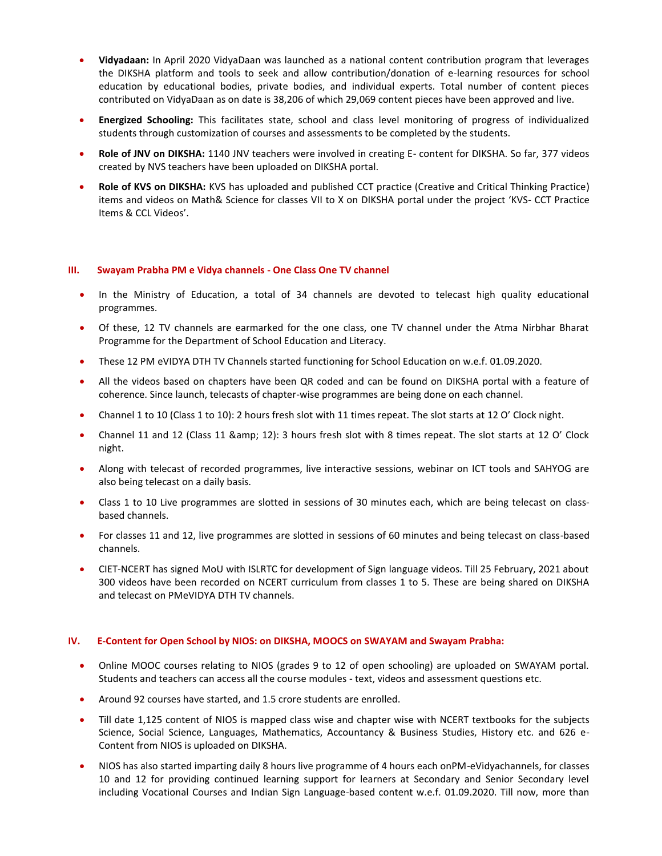- **Vidyadaan:** In April 2020 VidyaDaan was launched as a national content contribution program that leverages the DIKSHA platform and tools to seek and allow contribution/donation of e-learning resources for school education by educational bodies, private bodies, and individual experts. Total number of content pieces contributed on VidyaDaan as on date is 38,206 of which 29,069 content pieces have been approved and live.
- **Energized Schooling:** This facilitates state, school and class level monitoring of progress of individualized students through customization of courses and assessments to be completed by the students.
- **Role of JNV on DIKSHA:** 1140 JNV teachers were involved in creating E- content for DIKSHA. So far, 377 videos created by NVS teachers have been uploaded on DIKSHA portal.
- **Role of KVS on DIKSHA:** KVS has uploaded and published CCT practice (Creative and Critical Thinking Practice) items and videos on Math& Science for classes VII to X on DIKSHA portal under the project 'KVS- CCT Practice Items & CCL Videos'.

### **III. Swayam Prabha PM e Vidya channels - One Class One TV channel**

- In the Ministry of Education, a total of 34 channels are devoted to telecast high quality educational programmes.
- Of these, 12 TV channels are earmarked for the one class, one TV channel under the Atma Nirbhar Bharat Programme for the Department of School Education and Literacy.
- These 12 PM eVIDYA DTH TV Channels started functioning for School Education on w.e.f. 01.09.2020.
- All the videos based on chapters have been QR coded and can be found on DIKSHA portal with a feature of coherence. Since launch, telecasts of chapter-wise programmes are being done on each channel.
- Channel 1 to 10 (Class 1 to 10): 2 hours fresh slot with 11 times repeat. The slot starts at 12 O' Clock night.
- Channel 11 and 12 (Class 11 & amp; 12): 3 hours fresh slot with 8 times repeat. The slot starts at 12 O' Clock night.
- Along with telecast of recorded programmes, live interactive sessions, webinar on ICT tools and SAHYOG are also being telecast on a daily basis.
- Class 1 to 10 Live programmes are slotted in sessions of 30 minutes each, which are being telecast on classbased channels.
- For classes 11 and 12, live programmes are slotted in sessions of 60 minutes and being telecast on class-based channels.
- CIET-NCERT has signed MoU with ISLRTC for development of Sign language videos. Till 25 February, 2021 about 300 videos have been recorded on NCERT curriculum from classes 1 to 5. These are being shared on DIKSHA and telecast on PMeVIDYA DTH TV channels.

### **IV. E-Content for Open School by NIOS: on DIKSHA, MOOCS on SWAYAM and Swayam Prabha:**

- Online MOOC courses relating to NIOS (grades 9 to 12 of open schooling) are uploaded on SWAYAM portal. Students and teachers can access all the course modules - text, videos and assessment questions etc.
- Around 92 courses have started, and 1.5 crore students are enrolled.
- Till date 1,125 content of NIOS is mapped class wise and chapter wise with NCERT textbooks for the subjects Science, Social Science, Languages, Mathematics, Accountancy & Business Studies, History etc. and 626 e-Content from NIOS is uploaded on DIKSHA.
- NIOS has also started imparting daily 8 hours live programme of 4 hours each onPM-eVidyachannels, for classes 10 and 12 for providing continued learning support for learners at Secondary and Senior Secondary level including Vocational Courses and Indian Sign Language-based content w.e.f. 01.09.2020. Till now, more than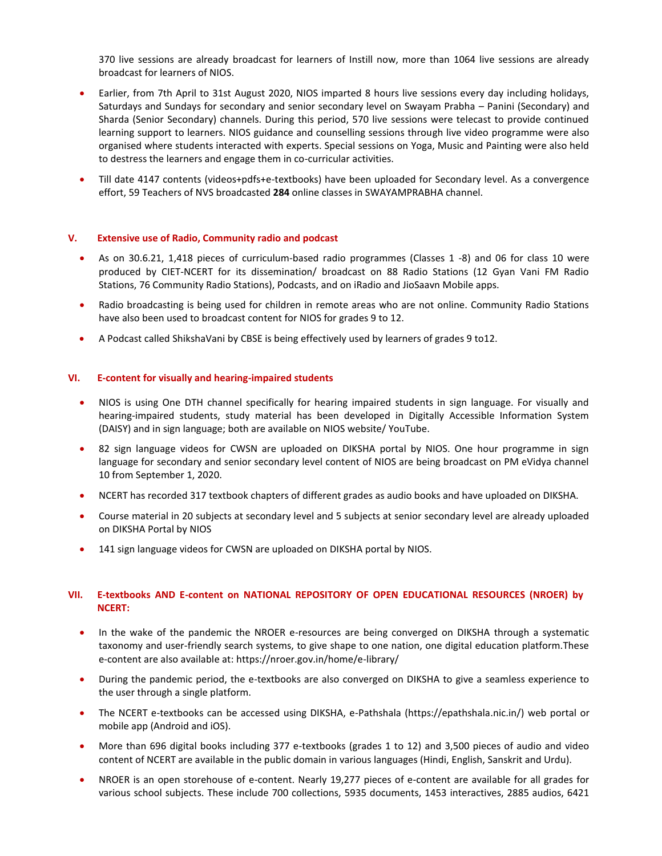370 live sessions are already broadcast for learners of Instill now, more than 1064 live sessions are already broadcast for learners of NIOS.

- Earlier, from 7th April to 31st August 2020, NIOS imparted 8 hours live sessions every day including holidays, Saturdays and Sundays for secondary and senior secondary level on Swayam Prabha – Panini (Secondary) and Sharda (Senior Secondary) channels. During this period, 570 live sessions were telecast to provide continued learning support to learners. NIOS guidance and counselling sessions through live video programme were also organised where students interacted with experts. Special sessions on Yoga, Music and Painting were also held to destress the learners and engage them in co-curricular activities.
- Till date 4147 contents (videos+pdfs+e-textbooks) have been uploaded for Secondary level. As a convergence effort, 59 Teachers of NVS broadcasted **284** online classes in SWAYAMPRABHA channel.

### **V. Extensive use of Radio, Community radio and podcast**

- As on 30.6.21, 1,418 pieces of curriculum-based radio programmes (Classes 1 -8) and 06 for class 10 were produced by CIET-NCERT for its dissemination/ broadcast on 88 Radio Stations (12 Gyan Vani FM Radio Stations, 76 Community Radio Stations), Podcasts, and on iRadio and JioSaavn Mobile apps.
- Radio broadcasting is being used for children in remote areas who are not online. Community Radio Stations have also been used to broadcast content for NIOS for grades 9 to 12.
- A Podcast called ShikshaVani by CBSE is being effectively used by learners of grades 9 to12.

### **VI. E-content for visually and hearing-impaired students**

- NIOS is using One DTH channel specifically for hearing impaired students in sign language. For visually and hearing-impaired students, study material has been developed in Digitally Accessible Information System (DAISY) and in sign language; both are available on NIOS website/ YouTube.
- 82 sign language videos for CWSN are uploaded on DIKSHA portal by NIOS. One hour programme in sign language for secondary and senior secondary level content of NIOS are being broadcast on PM eVidya channel 10 from September 1, 2020.
- NCERT has recorded 317 textbook chapters of different grades as audio books and have uploaded on DIKSHA.
- Course material in 20 subjects at secondary level and 5 subjects at senior secondary level are already uploaded on DIKSHA Portal by NIOS
- 141 sign language videos for CWSN are uploaded on DIKSHA portal by NIOS.

### **VII. E-textbooks AND E-content on NATIONAL REPOSITORY OF OPEN EDUCATIONAL RESOURCES (NROER) by NCERT:**

- In the wake of the pandemic the NROER e-resources are being converged on DIKSHA through a systematic taxonomy and user-friendly search systems, to give shape to one nation, one digital education platform.These e-content are also available at[: https://nroer.gov.in/home/e-library/](https://nroer.gov.in/home/e-library/)
- During the pandemic period, the e-textbooks are also converged on DIKSHA to give a seamless experience to the user through a single platform.
- The NCERT e-textbooks can be accessed using DIKSHA, e-Pathshala [\(https://epathshala.nic.in/\)](https://epathshala.nic.in/) web portal or mobile app (Android and iOS).
- More than 696 digital books including 377 e-textbooks (grades 1 to 12) and 3,500 pieces of audio and video content of NCERT are available in the public domain in various languages (Hindi, English, Sanskrit and Urdu).
- NROER is an open storehouse of e-content. Nearly 19,277 pieces of e-content are available for all grades for various school subjects. These include 700 collections, 5935 documents, 1453 interactives, 2885 audios, 6421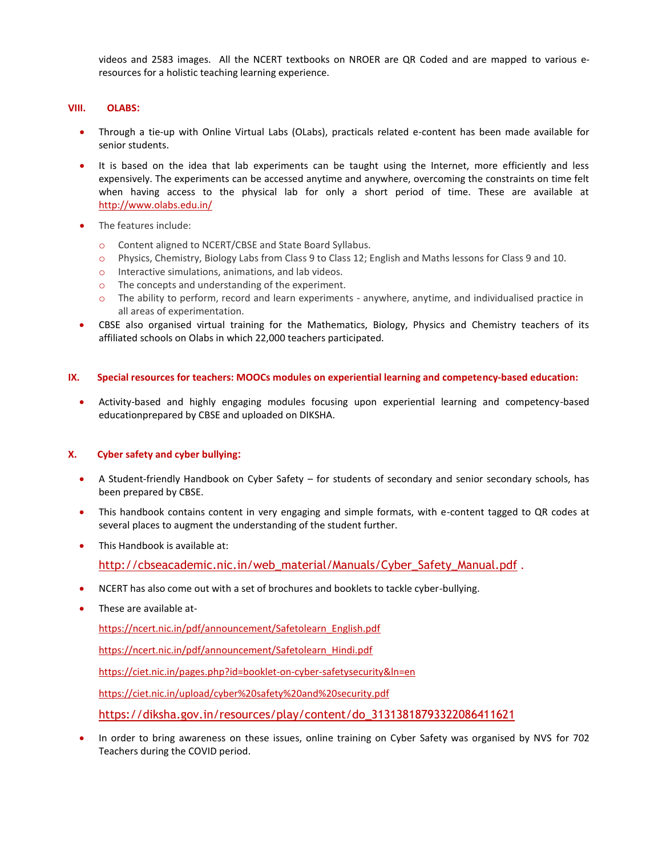videos and 2583 images. All the NCERT textbooks on NROER are QR Coded and are mapped to various eresources for a holistic teaching learning experience.

### **VIII. OLABS:**

- Through a tie-up with Online Virtual Labs (OLabs), practicals related e-content has been made available for senior students.
- It is based on the idea that lab experiments can be taught using the Internet, more efficiently and less expensively. The experiments can be accessed anytime and anywhere, overcoming the constraints on time felt when having access to the physical lab for only a short period of time. These are available at <http://www.olabs.edu.in/>
- The features include:
	- o Content aligned to NCERT/CBSE and State Board Syllabus.
	- o Physics, Chemistry, Biology Labs from Class 9 to Class 12; English and Maths lessons for Class 9 and 10.
	- o Interactive simulations, animations, and lab videos.
	- o The concepts and understanding of the experiment.
	- o The ability to perform, record and learn experiments anywhere, anytime, and individualised practice in all areas of experimentation.
- CBSE also organised virtual training for the Mathematics, Biology, Physics and Chemistry teachers of its affiliated schools on Olabs in which 22,000 teachers participated.

### **IX. Special resources for teachers: MOOCs modules on experiential learning and competency-based education:**

 Activity-based and highly engaging modules focusing upon experiential learning and competency-based educationprepared by CBSE and uploaded on DIKSHA.

### **X. Cyber safety and cyber bullying:**

- A Student-friendly Handbook on Cyber Safety for students of secondary and senior secondary schools, has been prepared by CBSE.
- This handbook contains content in very engaging and simple formats, with e-content tagged to QR codes at several places to augment the understanding of the student further.
- This Handbook is available at:

[http://cbseacademic.nic.in/web\\_material/Manuals/Cyber\\_Safety\\_Manual.pdf](http://cbseacademic.nic.in/web_material/Manuals/Cyber_Safety_Manual.pdf).

- NCERT has also come out with a set of brochures and booklets to tackle cyber-bullying.
- These are available at-

[https://ncert.nic.in/pdf/announcement/Safetolearn\\_English.pdf](https://ncert.nic.in/pdf/announcement/Safetolearn_English.pdf)

[https://ncert.nic.in/pdf/announcement/Safetolearn\\_Hindi.pdf](https://ncert.nic.in/pdf/announcement/Safetolearn_Hindi.pdf)

<https://ciet.nic.in/pages.php?id=booklet-on-cyber-safetysecurity&ln=en>

<https://ciet.nic.in/upload/cyber%20safety%20and%20security.pdf>

[https://diksha.gov.in/resources/play/content/do\\_31313818793322086411621](https://diksha.gov.in/resources/play/content/do_31313818793322086411621)

 In order to bring awareness on these issues, online training on Cyber Safety was organised by NVS for 702 Teachers during the COVID period.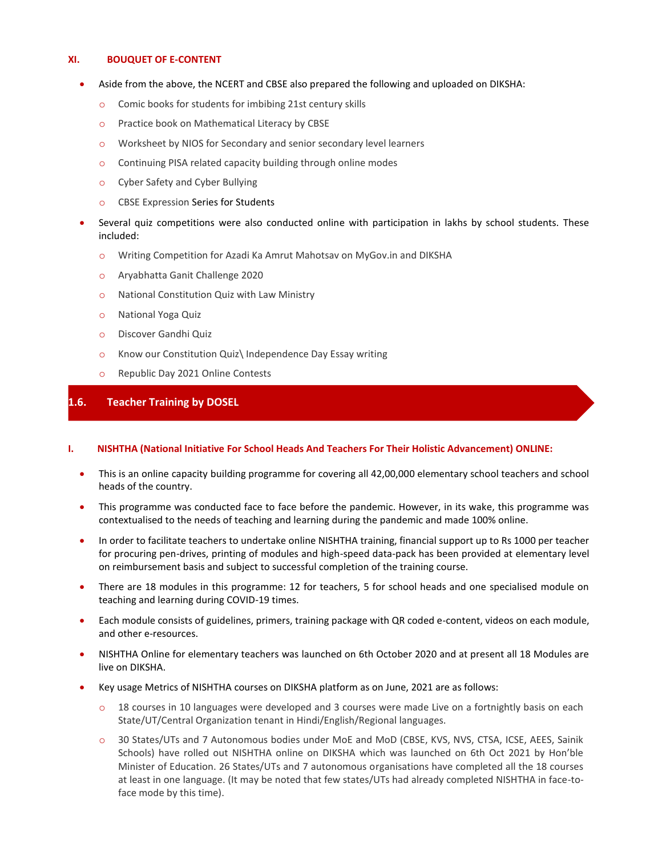### **XI. BOUQUET OF E-CONTENT**

- Aside from the above, the NCERT and CBSE also prepared the following and uploaded on DIKSHA:
	- o Comic books for students for imbibing 21st century skills
	- o Practice book on Mathematical Literacy by CBSE
	- o Worksheet by NIOS for Secondary and senior secondary level learners
	- o Continuing PISA related capacity building through online modes
	- o Cyber Safety and Cyber Bullying
	- o CBSE Expression Series for Students
- Several quiz competitions were also conducted online with participation in lakhs by school students. These included:
	- o Writing Competition for Azadi Ka Amrut Mahotsav on MyGov.in and DIKSHA
	- o Aryabhatta Ganit Challenge 2020
	- o National Constitution Quiz with Law Ministry
	- o National Yoga Quiz
	- o Discover Gandhi Quiz
	- o Know our Constitution Quiz\ Independence Day Essay writing
	- o Republic Day 2021 Online Contests

### **1.6. Teacher Training by DOSEL**

### **I. NISHTHA (National Initiative For School Heads And Teachers For Their Holistic Advancement) ONLINE:**

- This is an online capacity building programme for covering all 42,00,000 elementary school teachers and school heads of the country.
- This programme was conducted face to face before the pandemic. However, in its wake, this programme was contextualised to the needs of teaching and learning during the pandemic and made 100% online.
- In order to facilitate teachers to undertake online NISHTHA training, financial support up to Rs 1000 per teacher for procuring pen-drives, printing of modules and high-speed data-pack has been provided at elementary level on reimbursement basis and subject to successful completion of the training course.
- There are 18 modules in this programme: 12 for teachers, 5 for school heads and one specialised module on teaching and learning during COVID-19 times.
- Each module consists of guidelines, primers, training package with QR coded e-content, videos on each module, and other e-resources.
- NISHTHA Online for elementary teachers was launched on 6th October 2020 and at present all 18 Modules are live on DIKSHA.
- Key usage Metrics of NISHTHA courses on DIKSHA platform as on June, 2021 are as follows:
	- o 18 courses in 10 languages were developed and 3 courses were made Live on a fortnightly basis on each State/UT/Central Organization tenant in Hindi/English/Regional languages.
	- o 30 States/UTs and 7 Autonomous bodies under MoE and MoD (CBSE, KVS, NVS, CTSA, ICSE, AEES, Sainik Schools) have rolled out NISHTHA online on DIKSHA which was launched on 6th Oct 2021 by Hon'ble Minister of Education. 26 States/UTs and 7 autonomous organisations have completed all the 18 courses at least in one language. (It may be noted that few states/UTs had already completed NISHTHA in face-toface mode by this time).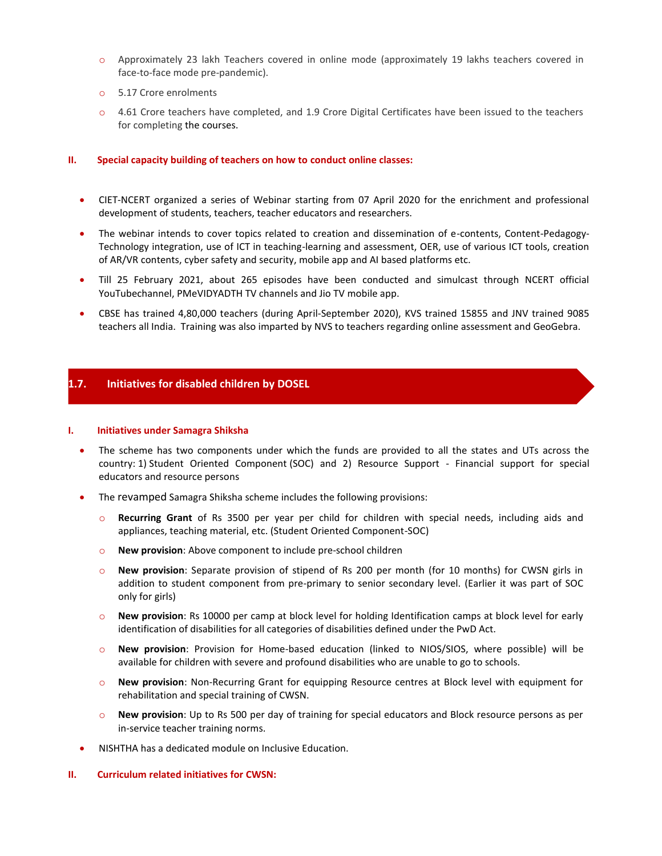- o Approximately 23 lakh Teachers covered in online mode (approximately 19 lakhs teachers covered in face-to-face mode pre-pandemic).
- o 5.17 Crore enrolments
- o 4.61 Crore teachers have completed, and 1.9 Crore Digital Certificates have been issued to the teachers for completing the courses.

### **II. Special capacity building of teachers on how to conduct online classes:**

- CIET-NCERT organized a series of Webinar starting from 07 April 2020 for the enrichment and professional development of students, teachers, teacher educators and researchers.
- The webinar intends to cover topics related to creation and dissemination of e-contents, Content-Pedagogy-Technology integration, use of ICT in teaching-learning and assessment, OER, use of various ICT tools, creation of AR/VR contents, cyber safety and security, mobile app and AI based platforms etc.
- Till 25 February 2021, about 265 episodes have been conducted and simulcast through NCERT official YouTubechannel, PMeVIDYADTH TV channels and Jio TV mobile app.
- CBSE has trained 4,80,000 teachers (during April-September 2020), KVS trained 15855 and JNV trained 9085 teachers all India. Training was also imparted by NVS to teachers regarding online assessment and GeoGebra.

### **1.7. Initiatives for disabled children by DOSEL**

#### **I. Initiatives under Samagra Shiksha**

- The scheme has two components under which the funds are provided to all the states and UTs across the country: 1) Student Oriented Component (SOC) and 2) Resource Support - Financial support for special educators and resource persons
- The revamped Samagra Shiksha scheme includes the following provisions:
	- o **Recurring Grant** of Rs 3500 per year per child for children with special needs, including aids and appliances, teaching material, etc. (Student Oriented Component-SOC)
	- o **New provision**: Above component to include pre-school children
	- o **New provision**: Separate provision of stipend of Rs 200 per month (for 10 months) for CWSN girls in addition to student component from pre-primary to senior secondary level. (Earlier it was part of SOC only for girls)
	- o **New provision**: Rs 10000 per camp at block level for holding Identification camps at block level for early identification of disabilities for all categories of disabilities defined under the PwD Act.
	- o **New provision**: Provision for Home-based education (linked to NIOS/SIOS, where possible) will be available for children with severe and profound disabilities who are unable to go to schools.
	- o **New provision**: Non-Recurring Grant for equipping Resource centres at Block level with equipment for rehabilitation and special training of CWSN.
	- o **New provision**: Up to Rs 500 per day of training for special educators and Block resource persons as per in-service teacher training norms.
- NISHTHA has a dedicated module on Inclusive Education.

### **II. Curriculum related initiatives for CWSN:**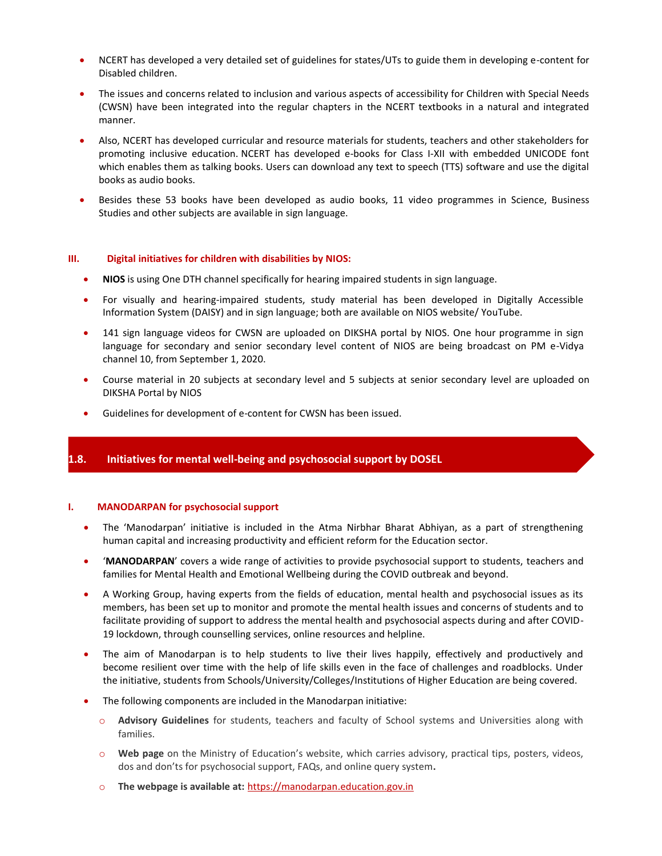- NCERT has developed a very detailed set of guidelines for states/UTs to guide them in developing e-content for Disabled children.
- The issues and concerns related to inclusion and various aspects of accessibility for Children with Special Needs (CWSN) have been integrated into the regular chapters in the NCERT textbooks in a natural and integrated manner.
- Also, NCERT has developed curricular and resource materials for students, teachers and other stakeholders for promoting inclusive education. NCERT has developed e-books for Class I-XII with embedded UNICODE font which enables them as talking books. Users can download any text to speech (TTS) software and use the digital books as audio books.
- Besides these 53 books have been developed as audio books, 11 video programmes in Science, Business Studies and other subjects are available in sign language.

### **III. Digital initiatives for children with disabilities by NIOS:**

- **NIOS** is using One DTH channel specifically for hearing impaired students in sign language.
- For visually and hearing-impaired students, study material has been developed in Digitally Accessible Information System (DAISY) and in sign language; both are available on NIOS website/ YouTube.
- 141 sign language videos for CWSN are uploaded on DIKSHA portal by NIOS. One hour programme in sign language for secondary and senior secondary level content of NIOS are being broadcast on PM e-Vidya channel 10, from September 1, 2020.
- Course material in 20 subjects at secondary level and 5 subjects at senior secondary level are uploaded on DIKSHA Portal by NIOS
- Guidelines for development of e-content for CWSN has been issued.

### **1.8. Initiatives for mental well-being and psychosocial support by DOSEL**

### **I. MANODARPAN for psychosocial support**

- The 'Manodarpan' initiative is included in the Atma Nirbhar Bharat Abhiyan, as a part of strengthening human capital and increasing productivity and efficient reform for the Education sector.
- '**MANODARPAN**' covers a wide range of activities to provide psychosocial support to students, teachers and families for Mental Health and Emotional Wellbeing during the COVID outbreak and beyond.
- A Working Group, having experts from the fields of education, mental health and psychosocial issues as its members, has been set up to monitor and promote the mental health issues and concerns of students and to facilitate providing of support to address the mental health and psychosocial aspects during and after COVID-19 lockdown, through counselling services, online resources and helpline.
- The aim of Manodarpan is to help students to live their lives happily, effectively and productively and become resilient over time with the help of life skills even in the face of challenges and roadblocks. Under the initiative, students from Schools/University/Colleges/Institutions of Higher Education are being covered.
- The following components are included in the Manodarpan initiative:
	- o **Advisory Guidelines** for students, teachers and faculty of School systems and Universities along with families.
	- o **Web page** on the Ministry of Education's website, which carries advisory, practical tips, posters, videos, dos and don'ts for psychosocial support, FAQs, and online query system**.**
	- o **The webpage is available at:** [https://manodarpan.education.gov.in](https://manodarpan.education.gov.in/)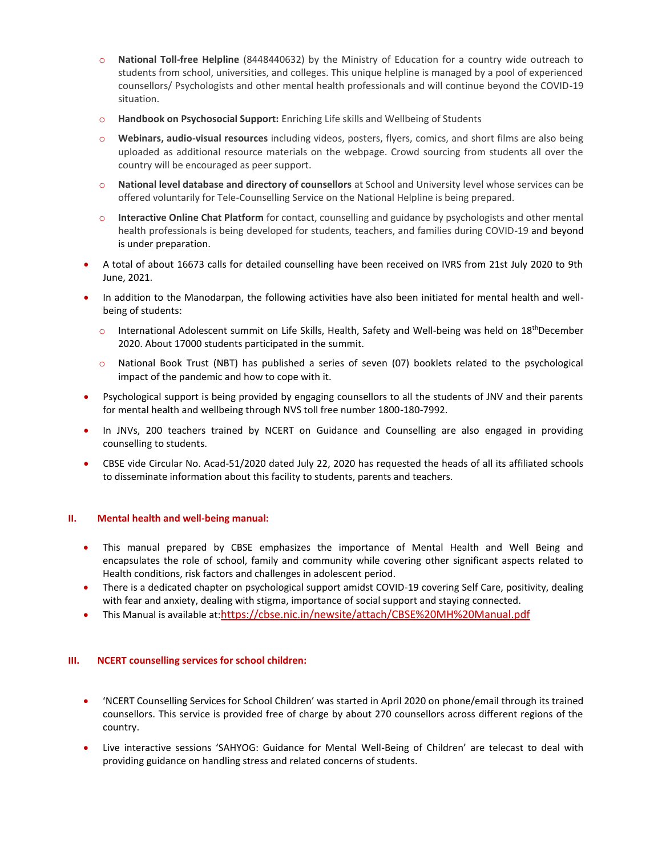- o **National Toll-free Helpline** (8448440632) by the Ministry of Education for a country wide outreach to students from school, universities, and colleges. This unique helpline is managed by a pool of experienced counsellors/ Psychologists and other mental health professionals and will continue beyond the COVID-19 situation.
- o **Handbook on Psychosocial Support:** Enriching Life skills and Wellbeing of Students
- o **Webinars, audio-visual resources** including videos, posters, flyers, comics, and short films are also being uploaded as additional resource materials on the webpage. Crowd sourcing from students all over the country will be encouraged as peer support.
- o **National level database and directory of counsellors** at School and University level whose services can be offered voluntarily for Tele-Counselling Service on the National Helpline is being prepared.
- o **Interactive Online Chat Platform** for contact, counselling and guidance by psychologists and other mental health professionals is being developed for students, teachers, and families during COVID-19 and beyond is under preparation.
- A total of about 16673 calls for detailed counselling have been received on IVRS from 21st July 2020 to 9th June, 2021.
- In addition to the Manodarpan, the following activities have also been initiated for mental health and wellbeing of students:
	- $\circ$  International Adolescent summit on Life Skills, Health, Safety and Well-being was held on 18<sup>th</sup>December 2020. About 17000 students participated in the summit.
	- o National Book Trust (NBT) has published a series of seven (07) booklets related to the psychological impact of the pandemic and how to cope with it.
- Psychological support is being provided by engaging counsellors to all the students of JNV and their parents for mental health and wellbeing through NVS toll free number 1800-180-7992.
- In JNVs, 200 teachers trained by NCERT on Guidance and Counselling are also engaged in providing counselling to students.
- CBSE vide Circular No. Acad-51/2020 dated July 22, 2020 has requested the heads of all its affiliated schools to disseminate information about this facility to students, parents and teachers.

### **II. Mental health and well-being manual:**

- This manual prepared by CBSE emphasizes the importance of Mental Health and Well Being and encapsulates the role of school, family and community while covering other significant aspects related to Health conditions, risk factors and challenges in adolescent period.
- There is a dedicated chapter on psychological support amidst COVID-19 covering Self Care, positivity, dealing with fear and anxiety, dealing with stigma, importance of social support and staying connected.
- This Manual is available at:<https://cbse.nic.in/newsite/attach/CBSE%20MH%20Manual.pdf>

### **III. NCERT counselling services for school children:**

- 'NCERT Counselling Services for School Children' was started in April 2020 on phone/email through its trained counsellors. This service is provided free of charge by about 270 counsellors across different regions of the country.
- Live interactive sessions 'SAHYOG: Guidance for Mental Well-Being of Children' are telecast to deal with providing guidance on handling stress and related concerns of students.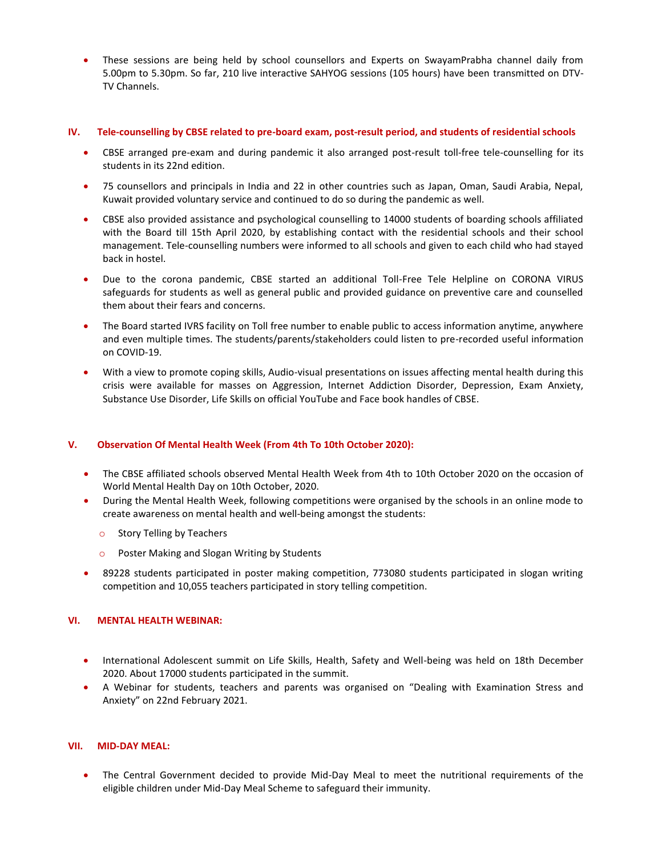These sessions are being held by school counsellors and Experts on SwayamPrabha channel daily from 5.00pm to 5.30pm. So far, 210 live interactive SAHYOG sessions (105 hours) have been transmitted on DTV-TV Channels.

#### **IV. Tele-counselling by CBSE related to pre-board exam, post-result period, and students of residential schools**

- CBSE arranged pre-exam and during pandemic it also arranged post-result toll-free tele-counselling for its students in its 22nd edition.
- 75 counsellors and principals in India and 22 in other countries such as Japan, Oman, Saudi Arabia, Nepal, Kuwait provided voluntary service and continued to do so during the pandemic as well.
- CBSE also provided assistance and psychological counselling to 14000 students of boarding schools affiliated with the Board till 15th April 2020, by establishing contact with the residential schools and their school management. Tele-counselling numbers were informed to all schools and given to each child who had stayed back in hostel.
- Due to the corona pandemic, CBSE started an additional Toll-Free Tele Helpline on CORONA VIRUS safeguards for students as well as general public and provided guidance on preventive care and counselled them about their fears and concerns.
- The Board started IVRS facility on Toll free number to enable public to access information anytime, anywhere and even multiple times. The students/parents/stakeholders could listen to pre-recorded useful information on COVID-19.
- With a view to promote coping skills, Audio-visual presentations on issues affecting mental health during this crisis were available for masses on Aggression, Internet Addiction Disorder, Depression, Exam Anxiety, Substance Use Disorder, Life Skills on official YouTube and Face book handles of CBSE.

### **V. Observation Of Mental Health Week (From 4th To 10th October 2020):**

- The CBSE affiliated schools observed Mental Health Week from 4th to 10th October 2020 on the occasion of World Mental Health Day on 10th October, 2020.
- During the Mental Health Week, following competitions were organised by the schools in an online mode to create awareness on mental health and well-being amongst the students:
	- o Story Telling by Teachers
	- o Poster Making and Slogan Writing by Students
- 89228 students participated in poster making competition, 773080 students participated in slogan writing competition and 10,055 teachers participated in story telling competition.

### **VI. MENTAL HEALTH WEBINAR:**

- International Adolescent summit on Life Skills, Health, Safety and Well-being was held on 18th December 2020. About 17000 students participated in the summit.
- A Webinar for students, teachers and parents was organised on "Dealing with Examination Stress and Anxiety" on 22nd February 2021.

### **VII. MID-DAY MEAL:**

 The Central Government decided to provide Mid-Day Meal to meet the nutritional requirements of the eligible children under Mid-Day Meal Scheme to safeguard their immunity.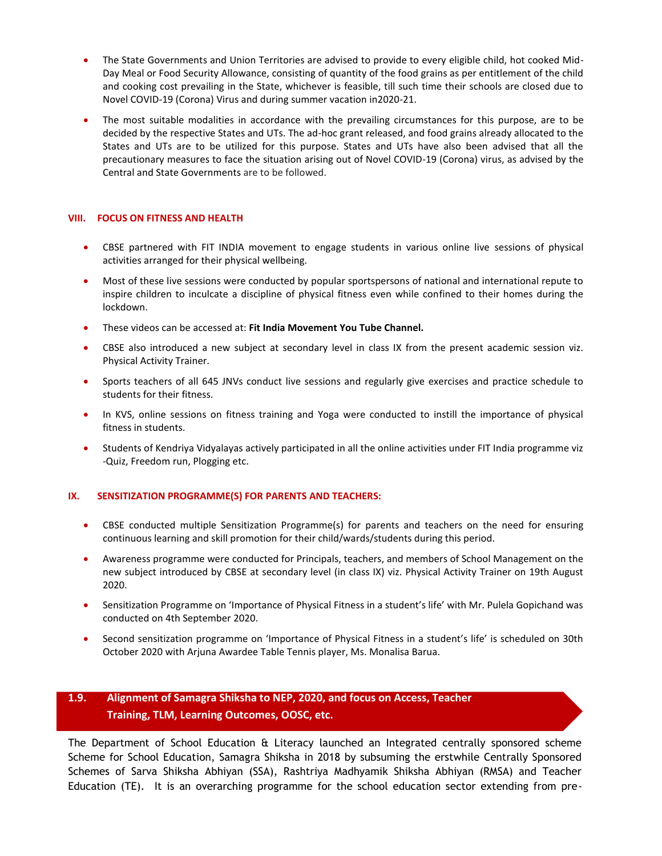- The State Governments and Union Territories are advised to provide to every eligible child, hot cooked Mid-Day Meal or Food Security Allowance, consisting of quantity of the food grains as per entitlement of the child and cooking cost prevailing in the State, whichever is feasible, till such time their schools are closed due to Novel COVID-19 (Corona) Virus and during summer vacation in2020-21.
- The most suitable modalities in accordance with the prevailing circumstances for this purpose, are to be decided by the respective States and UTs. The ad-hoc grant released, and food grains already allocated to the States and UTs are to be utilized for this purpose. States and UTs have also been advised that all the precautionary measures to face the situation arising out of Novel COVID-19 (Corona) virus, as advised by the Central and State Governments are to be followed.

### **VIII. FOCUS ON FITNESS AND HEALTH**

- CBSE partnered with FIT INDIA movement to engage students in various online live sessions of physical activities arranged for their physical wellbeing.
- Most of these live sessions were conducted by popular sportspersons of national and international repute to inspire children to inculcate a discipline of physical fitness even while confined to their homes during the lockdown.
- These videos can be accessed at: **Fit India Movement You Tube Channel.**
- CBSE also introduced a new subject at secondary level in class IX from the present academic session viz. Physical Activity Trainer.
- Sports teachers of all 645 JNVs conduct live sessions and regularly give exercises and practice schedule to students for their fitness.
- In KVS, online sessions on fitness training and Yoga were conducted to instill the importance of physical fitness in students.
- Students of Kendriya Vidyalayas actively participated in all the online activities under FIT India programme viz -Quiz, Freedom run, Plogging etc.

### **IX. SENSITIZATION PROGRAMME(S) FOR PARENTS AND TEACHERS:**

- CBSE conducted multiple Sensitization Programme(s) for parents and teachers on the need for ensuring continuous learning and skill promotion for their child/wards/students during this period.
- Awareness programme were conducted for Principals, teachers, and members of School Management on the new subject introduced by CBSE at secondary level (in class IX) viz. Physical Activity Trainer on 19th August 2020.
- Sensitization Programme on 'Importance of Physical Fitness in a student's life' with Mr. Pulela Gopichand was conducted on 4th September 2020.
- Second sensitization programme on 'Importance of Physical Fitness in a student's life' is scheduled on 30th October 2020 with Arjuna Awardee Table Tennis player, Ms. Monalisa Barua.

## **1.9. Alignment of Samagra Shiksha to NEP, 2020, and focus on Access, Teacher Training, TLM, Learning Outcomes, OOSC, etc.**

The Department of School Education & Literacy launched an Integrated centrally sponsored scheme Scheme for School Education, Samagra Shiksha in 2018 by subsuming the erstwhile Centrally Sponsored Schemes of Sarva Shiksha Abhiyan (SSA), Rashtriya Madhyamik Shiksha Abhiyan (RMSA) and Teacher Education (TE). It is an overarching programme for the school education sector extending from pre